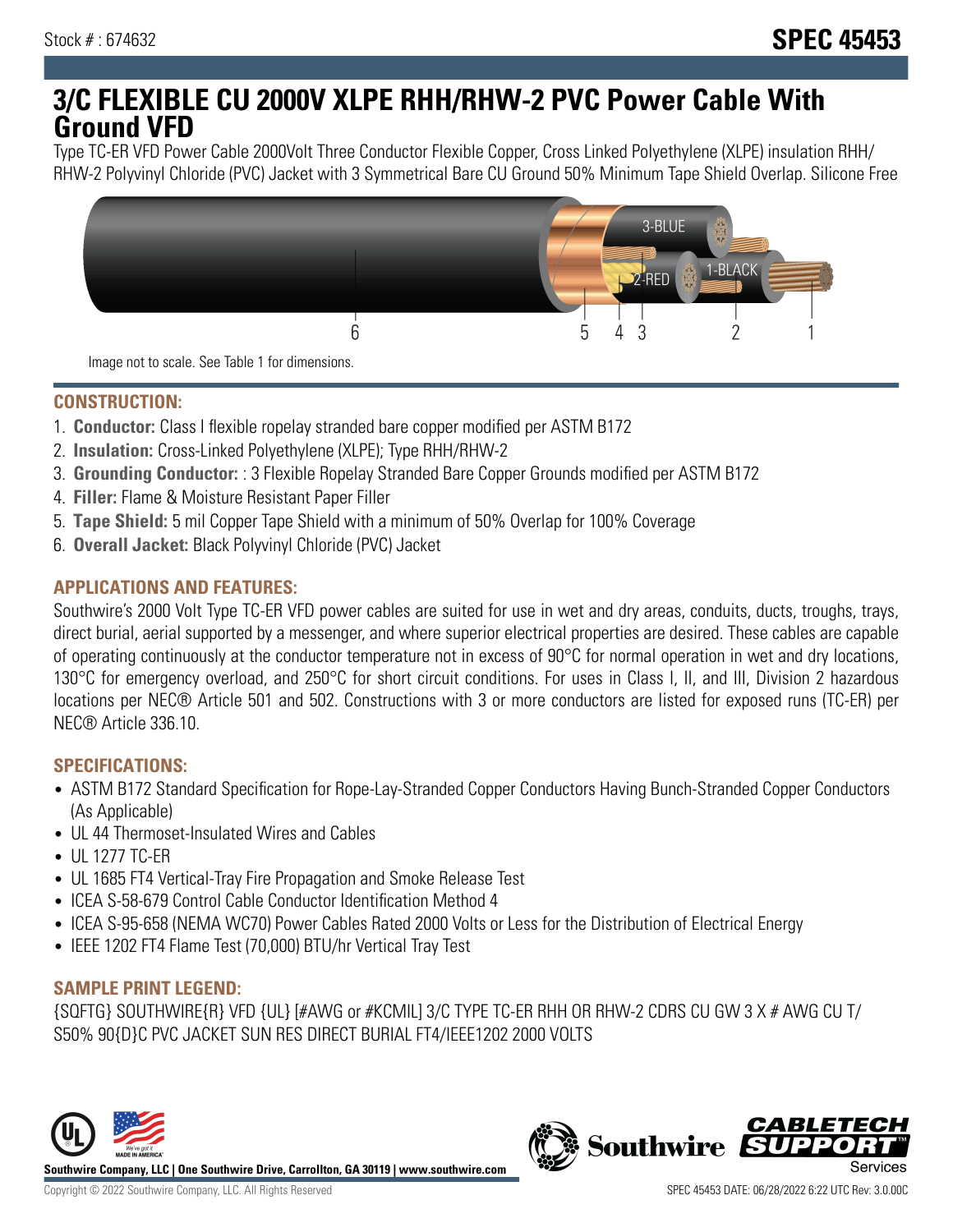# **3/C FLEXIBLE CU 2000V XLPE RHH/RHW-2 PVC Power Cable With Ground VFD**

Type TC-ER VFD Power Cable 2000Volt Three Conductor Flexible Copper, Cross Linked Polyethylene (XLPE) insulation RHH/ RHW-2 Polyvinyl Chloride (PVC) Jacket with 3 Symmetrical Bare CU Ground 50% Minimum Tape Shield Overlap. Silicone Free



Image not to scale. See Table 1 for dimensions.

## **CONSTRUCTION:**

- 1. **Conductor:** Class I flexible ropelay stranded bare copper modified per ASTM B172
- 2. **Insulation:** Cross-Linked Polyethylene (XLPE); Type RHH/RHW-2
- 3. **Grounding Conductor:** : 3 Flexible Ropelay Stranded Bare Copper Grounds modified per ASTM B172
- 4. **Filler:** Flame & Moisture Resistant Paper Filler
- 5. **Tape Shield:** 5 mil Copper Tape Shield with a minimum of 50% Overlap for 100% Coverage
- 6. **Overall Jacket:** Black Polyvinyl Chloride (PVC) Jacket

## **APPLICATIONS AND FEATURES:**

Southwire's 2000 Volt Type TC-ER VFD power cables are suited for use in wet and dry areas, conduits, ducts, troughs, trays, direct burial, aerial supported by a messenger, and where superior electrical properties are desired. These cables are capable of operating continuously at the conductor temperature not in excess of 90°C for normal operation in wet and dry locations, 130°C for emergency overload, and 250°C for short circuit conditions. For uses in Class I, II, and III, Division 2 hazardous locations per NEC® Article 501 and 502. Constructions with 3 or more conductors are listed for exposed runs (TC-ER) per NEC® Article 336.10.

#### **SPECIFICATIONS:**

- ASTM B172 Standard Specification for Rope-Lay-Stranded Copper Conductors Having Bunch-Stranded Copper Conductors (As Applicable)
- UL 44 Thermoset-Insulated Wires and Cables
- UL 1277 TC-ER
- UL 1685 FT4 Vertical-Tray Fire Propagation and Smoke Release Test
- ICEA S-58-679 Control Cable Conductor Identification Method 4
- ICEA S-95-658 (NEMA WC70) Power Cables Rated 2000 Volts or Less for the Distribution of Electrical Energy
- IEEE 1202 FT4 Flame Test (70,000) BTU/hr Vertical Tray Test

#### **SAMPLE PRINT LEGEND:**

{SQFTG} SOUTHWIRE{R} VFD {UL} [#AWG or #KCMIL] 3/C TYPE TC-ER RHH OR RHW-2 CDRS CU GW 3 X # AWG CU T/ S50% 90{D}C PVC JACKET SUN RES DIRECT BURIAL FT4/IEEE1202 2000 VOLTS



**Southwire Company, LLC | One Southwire Drive, Carrollton, GA 30119 | www.southwire.com**